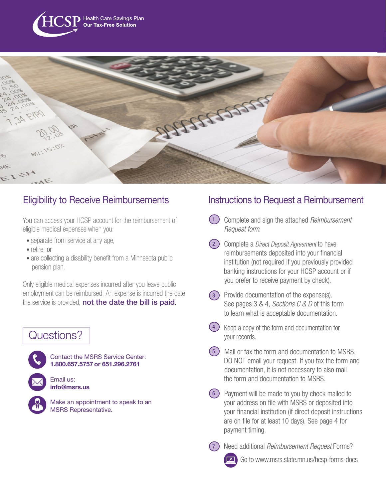



# Eligibility to Receive Reimbursements

You can access your HCSP account for the reimbursement of eligible medical expenses when you:

- separate from service at any age,
- retire, or
- are collecting a disability benefit from a Minnesota public pension plan.

Only eligible medical expenses incurred after you leave public employment can be reimbursed. An expense is incurred the date the service is provided, not the date the bill is paid.

# Questions?



Contact the MSRS Service Center: 1.800.657.5757 or 651.296.2761



info@msrs.us

Make an appointment to speak to an MSRS Representative.

# Instructions to Request a Reimbursement

- Complete and sign the attached *Reimbursement*  1.  *Request form*.
- Complete a *Direct Deposit Agreement* to have 2. reimbursements deposited into your financial institution (not required if you previously provided banking instructions for your HCSP account or if you prefer to receive payment by check).
- (3.) Provide documentation of the expense(s). See pages 3 & 4, *Sections C & D* of this form to learn what is acceptable documentation.
- (4.) Keep a copy of the form and documentation for your records.
- Mail or fax the form and documentation to MSRS. 5. DO NOT email your request. If you fax the form and documentation, it is not necessary to also mail the form and documentation to MSRS.
- (6.) Payment will be made to you by check mailed to your address on file with MSRS or deposited into your financial institution (if direct deposit instructions are on file for at least 10 days). See page 4 for payment timing.



Go to www.msrs.state.mn.us/hcsp-forms-docs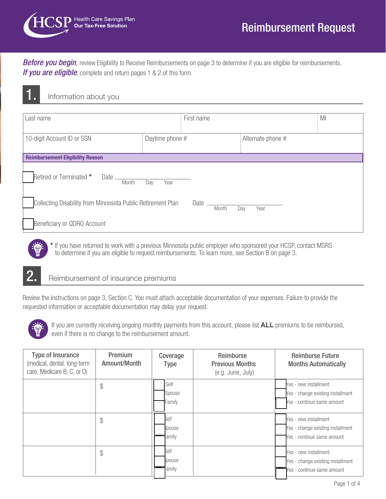

**Before you begin**, review Eligibility to Receive Reimbursements on page 3 to determine if you are eligible for reimbursements. **If you are eligible**, complete and return pages 1 & 2 of this form.

# 1. Information about you

| Last name                                                   |                 | First name |       |     | MI                |  |
|-------------------------------------------------------------|-----------------|------------|-------|-----|-------------------|--|
| 10-digit Account ID or SSN                                  | Daytime phone # |            |       |     | Alternate phone # |  |
| <b>Reimbursement Eligibility Reason</b>                     |                 |            |       |     |                   |  |
| Retired or Terminated *<br>Date —<br>Month                  | Year<br>Day     |            |       |     |                   |  |
| Collecting Disability from Minnesota Public Retirement Plan |                 | Date       | Month | Day | Year              |  |
| Beneficiary or QDRO Account                                 |                 |            |       |     |                   |  |

\* If you have returned to work with a previous Minnesota public employer who sponsored your HCSP, contact MSRS to determine if you are eligible to request reimbursements. To learn more, see Section B on page 3.

# 2. Reimbursement of insurance premiums

Review the instructions on page 3, Section C. You must attach acceptable documentation of your expenses. Failure to provide the requested information or acceptable documentation may delay your request.



If you are currently receiving ongoing monthly payments from this account, please list ALL premiums to be reimbursed, even if there is no change to the reimbursement amount.

| <b>Type of Insurance</b><br>(medical, dental. long-term<br>care, Medicare B, C, or D) | Premium<br>Amount/Month | Coverage<br><b>Type</b>  | Reimburse<br><b>Previous Months</b><br>(e.g. June, July) | <b>Reimburse Future</b><br><b>Months Automatically</b>                                   |
|---------------------------------------------------------------------------------------|-------------------------|--------------------------|----------------------------------------------------------|------------------------------------------------------------------------------------------|
|                                                                                       | \$                      | Self<br>Spouse<br>Family |                                                          | Yes - new installment<br>Yes - change existing installment<br>Yes - continue same amount |
|                                                                                       | \$                      | Self<br>Spouse<br>Family |                                                          | Yes - new installment<br>Yes - change existing installment<br>Yes - continue same amount |
|                                                                                       | \$                      | Self<br>Spouse<br>Family |                                                          | Yes - new installment<br>Yes - change existing installment<br>Yes - continue same amount |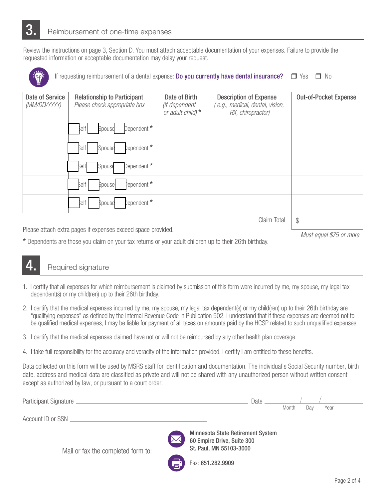Review the instructions on page 3, Section D. You must attach acceptable documentation of your expenses. Failure to provide the requested information or acceptable documentation may delay your request.



If requesting reimbursement of a dental expense: **Do you currently have dental insurance?**  $\square$  Yes  $\square$  No

| Date of Service<br>(MM/DD/YYYY) | <b>Relationship to Participant</b><br>Please check appropriate box | Date of Birth<br>(if dependent<br>or adult child) $*$ | <b>Description of Expense</b><br>e.g., medical, dental, vision,<br>RX, chiropractor) | <b>Out-of-Pocket Expense</b> |
|---------------------------------|--------------------------------------------------------------------|-------------------------------------------------------|--------------------------------------------------------------------------------------|------------------------------|
|                                 | Dependent *  <br>self<br>Spouse                                    |                                                       |                                                                                      |                              |
|                                 | Dependent *<br>Self<br>Spouse                                      |                                                       |                                                                                      |                              |
|                                 | Dependent *<br>Spouse<br>Self                                      |                                                       |                                                                                      |                              |
|                                 | bependent *<br>Self<br>Spouse                                      |                                                       |                                                                                      |                              |
|                                 | Dependent *<br>delf<br>Spouse                                      |                                                       |                                                                                      |                              |
|                                 | $\frac{1}{2}$                                                      |                                                       |                                                                                      |                              |

Please attach extra pages if expenses exceed space provided.

 *Must equal \$75 or more*

\* Dependents are those you claim on your tax returns or your adult children up to their 26th birthday.

# Required signature

- 1. I certify that all expenses for which reimbursement is claimed by submission of this form were incurred by me, my spouse, my legal tax dependent(s) or my child(ren) up to their 26th birthday.
- 2. I certify that the medical expenses incurred by me, my spouse, my legal tax dependent(s) or my child(ren) up to their 26th birthday are "qualifying expenses" as defined by the Internal Revenue Code in Publication 502. I understand that if these expenses are deemed not to be qualified medical expenses, I may be liable for payment of all taxes on amounts paid by the HCSP related to such unqualified expenses.
- 3. I certify that the medical expenses claimed have not or will not be reimbursed by any other health plan coverage.
- 4. I take full responsibility for the accuracy and veracity of the information provided. I certify I am entitled to these benefits.

Data collected on this form will be used by MSRS staff for identification and documentation. The individual's Social Security number, birth date, address and medical data are classified as private and will not be shared with any unauthorized person without written consent except as authorized by law, or pursuant to a court order.

|                                    | Date _                                                                                     |       |     |      |
|------------------------------------|--------------------------------------------------------------------------------------------|-------|-----|------|
|                                    |                                                                                            | Month | Dav | Year |
|                                    |                                                                                            |       |     |      |
| Mail or fax the completed form to: | Minnesota State Retirement System<br>60 Empire Drive, Suite 300<br>St. Paul, MN 55103-3000 |       |     |      |
| ЕĪ,                                | Fax: 651.282.9909                                                                          |       |     |      |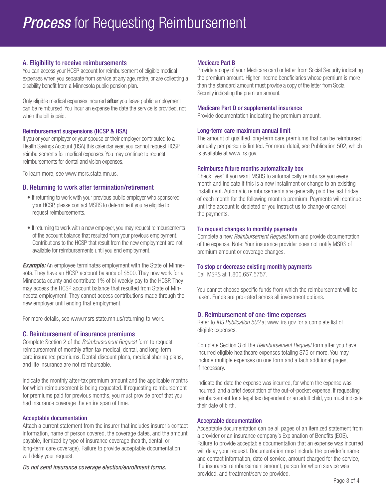## A. Eligibility to receive reimbursements

You can access your HCSP account for reimbursement of eligible medical expenses when you separate from service at any age, retire, or are collecting a disability benefit from a Minnesota public pension plan.

Only eligible medical expenses incurred **after** you leave public employment can be reimbursed. You incur an expense the date the service is provided, not when the bill is paid.

#### Reimbursement suspensions (HCSP & HSA)

If you or your employer or your spouse or their employer contributed to a Health Savings Account (HSA) this calendar year, you cannot request HCSP reimbursements for medical expenses. You may continue to request reimbursements for dental and vision expenses.

To learn more, see www.msrs.state.mn.us.

## B. Returning to work after termination/retirement

- If returning to work with your previous public employer who sponsored your HCSP, please contact MSRS to determine if you're eligible to request reimbursements.
- If returning to work with a new employer, you may request reimbursements of the account balance that resulted from your previous employment. Contributions to the HCSP that result from the new employment are not available for reimbursements until you end employment.

**Example:** An employee terminates employment with the State of Minnesota. They have an HCSP account balance of \$500. They now work for a Minnesota county and contribute 1% of bi-weekly pay to the HCSP. They may access the HCSP account balance that resulted from State of Minnesota employment. They cannot access contributions made through the new employer until ending that employment.

For more details, see www.msrs.state.mn.us/returning-to-work.

## C. Reimbursement of insurance premiums

Complete Section 2 of the *Reimbursement Request* form to request reimbursement of monthly after-tax medical, dental, and long-term care insurance premiums. Dental discount plans, medical sharing plans, and life insurance are not reimbursable.

Indicate the monthly after-tax premium amount and the applicable months for which reimbursement is being requested. If requesting reimbursement for premiums paid for previous months, you must provide proof that you had insurance coverage the entire span of time.

#### Acceptable documentation

Attach a current statement from the insurer that includes insurer's contact information, name of person covered, the coverage dates, and the amount payable, itemized by type of insurance coverage (health, dental, or long-term care coverage). Failure to provide acceptable documentation will delay your request.

*Do not send insurance coverage election/enrollment forms.*

### Medicare Part B

Provide a copy of your Medicare card or letter from Social Security indicating the premium amount. Higher-income beneficiaries whose premium is more than the standard amount must provide a copy of the letter from Social Security indicating the premium amount.

#### Medicare Part D or supplemental insurance

Provide documentation indicating the premium amount.

#### Long-term care maximum annual limit

The amount of qualified long-term care premiums that can be reimbursed annually per person is limited. For more detail, see Publication 502, which is available at www.irs.gov.

#### Reimburse future months automatically box

Check "yes" if you want MSRS to automatically reimburse you every month and indicate if this is a new installment or change to an exisiting installment. Automatic reimbursements are generally paid the last Friday of each month for the following month's premium. Payments will continue until the account is depleted or you instruct us to change or cancel the payments.

#### To request changes to monthly payments

Complete a new *Reimbursement Request* form and provide documentation of the expense. Note: Your insurance provider does not notify MSRS of premium amount or coverage changes.

#### To stop or decrease existing monthly payments

Call MSRS at 1.800.657.5757.

You cannot choose specific funds from which the reimbursement will be taken. Funds are pro-rated across all investment options.

#### D. Reimbursement of one-time expenses

Refer to *IRS Publication 502* at www. irs.gov for a complete list of eligible expenses.

Complete Section 3 of the *Reimbursement Request* form after you have incurred eligible healthcare expenses totaling \$75 or more. You may include multiple expenses on one form and attach additional pages, if necessary.

Indicate the date the expense was incurred, for whom the expense was incurred, and a brief description of the out-of-pocket expense. If requesting reimbursement for a legal tax dependent or an adult child, you must indicate their date of birth.

#### Acceptable documentation

Acceptable documentation can be all pages of an itemized statement from a provider or an insurance company's Explanation of Benefits (EOB). Failure to provide acceptable documentation that an expense was incurred will delay your request. Documentation must include the provider's name and contact information, date of service, amount charged for the service, the insurance reimbursement amount, person for whom service was provided, and treatment/service provided.